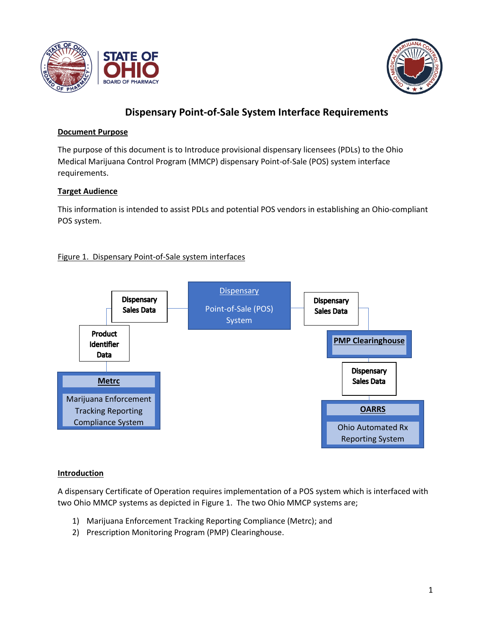



# **Dispensary Point-of-Sale System Interface Requirements**

## **Document Purpose**

The purpose of this document is to Introduce provisional dispensary licensees (PDLs) to the Ohio Medical Marijuana Control Program (MMCP) dispensary Point-of-Sale (POS) system interface requirements.

## **Target Audience**

This information is intended to assist PDLs and potential POS vendors in establishing an Ohio-compliant POS system.

## Figure 1. Dispensary Point-of-Sale system interfaces



## **Introduction**

A dispensary Certificate of Operation requires implementation of a POS system which is interfaced with two Ohio MMCP systems as depicted in Figure 1. The two Ohio MMCP systems are;

- 1) Marijuana Enforcement Tracking Reporting Compliance (Metrc); and
- 2) Prescription Monitoring Program (PMP) Clearinghouse.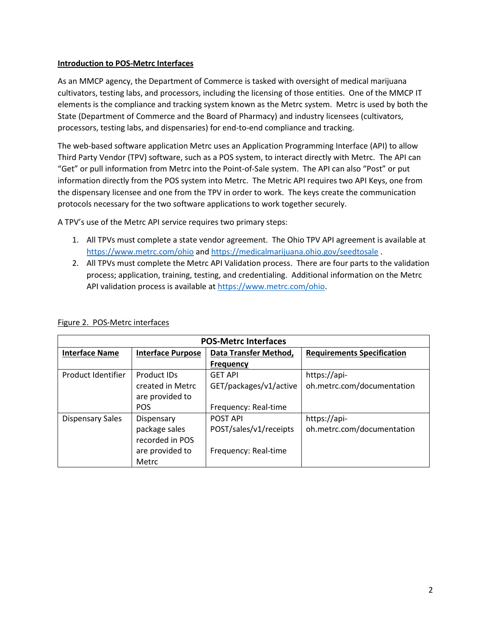### **Introduction to POS-Metrc Interfaces**

As an MMCP agency, the Department of Commerce is tasked with oversight of medical marijuana cultivators, testing labs, and processors, including the licensing of those entities. One of the MMCP IT elements is the compliance and tracking system known as the Metrc system. Metrc is used by both the State (Department of Commerce and the Board of Pharmacy) and industry licensees (cultivators, processors, testing labs, and dispensaries) for end-to-end compliance and tracking.

The web-based software application Metrc uses an Application Programming Interface (API) to allow Third Party Vendor (TPV) software, such as a POS system, to interact directly with Metrc. The API can "Get" or pull information from Metrc into the Point-of-Sale system. The API can also "Post" or put information directly from the POS system into Metrc. The Metric API requires two API Keys, one from the dispensary licensee and one from the TPV in order to work. The keys create the communication protocols necessary for the two software applications to work together securely.

A TPV's use of the Metrc API service requires two primary steps:

- 1. All TPVs must complete a state vendor agreement. The Ohio TPV API agreement is available at <https://www.metrc.com/ohio> an[d https://medicalmarijuana.ohio.gov/seedtosale](https://medicalmarijuana.ohio.gov/seedtosale) .
- 2. All TPVs must complete the Metrc API Validation process. There are four parts to the validation process; application, training, testing, and credentialing. Additional information on the Metrc API validation process is available a[t https://www.metrc.com/ohio.](https://www.metrc.com/ohio)

| <b>POS-Metrc Interfaces</b> |                          |                        |                                   |  |  |
|-----------------------------|--------------------------|------------------------|-----------------------------------|--|--|
| <b>Interface Name</b>       | <b>Interface Purpose</b> | Data Transfer Method,  | <b>Requirements Specification</b> |  |  |
|                             |                          | <b>Frequency</b>       |                                   |  |  |
| Product Identifier          | Product IDs              | <b>GET API</b>         | https://api-                      |  |  |
|                             | created in Metrc         | GET/packages/v1/active | oh.metrc.com/documentation        |  |  |
|                             | are provided to          |                        |                                   |  |  |
|                             | <b>POS</b>               | Frequency: Real-time   |                                   |  |  |
| <b>Dispensary Sales</b>     | Dispensary               | <b>POST API</b>        | https://api-                      |  |  |
|                             | package sales            | POST/sales/v1/receipts | oh.metrc.com/documentation        |  |  |
|                             | recorded in POS          |                        |                                   |  |  |
|                             | are provided to          | Frequency: Real-time   |                                   |  |  |
|                             | Metrc                    |                        |                                   |  |  |

#### Figure 2. POS-Metrc interfaces